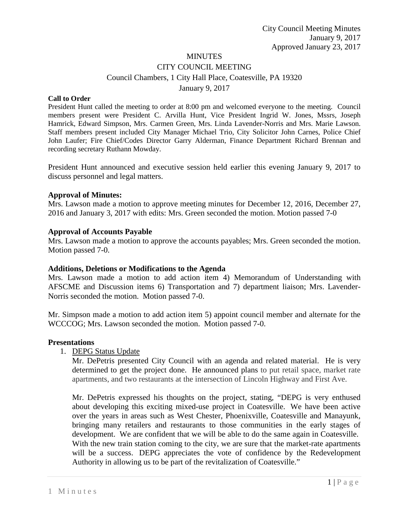# **MINUTES** CITY COUNCIL MEETING Council Chambers, 1 City Hall Place, Coatesville, PA 19320 January 9, 2017

#### **Call to Order**

President Hunt called the meeting to order at 8:00 pm and welcomed everyone to the meeting. Council members present were President C. Arvilla Hunt, Vice President Ingrid W. Jones, Mssrs, Joseph Hamrick, Edward Simpson, Mrs. Carmen Green, Mrs. Linda Lavender-Norris and Mrs. Marie Lawson. Staff members present included City Manager Michael Trio, City Solicitor John Carnes, Police Chief John Laufer; Fire Chief/Codes Director Garry Alderman, Finance Department Richard Brennan and recording secretary Ruthann Mowday.

President Hunt announced and executive session held earlier this evening January 9, 2017 to discuss personnel and legal matters.

#### **Approval of Minutes:**

Mrs. Lawson made a motion to approve meeting minutes for December 12, 2016, December 27, 2016 and January 3, 2017 with edits: Mrs. Green seconded the motion. Motion passed 7-0

#### **Approval of Accounts Payable**

Mrs. Lawson made a motion to approve the accounts payables; Mrs. Green seconded the motion. Motion passed 7-0.

### **Additions, Deletions or Modifications to the Agenda**

Mrs. Lawson made a motion to add action item 4) Memorandum of Understanding with AFSCME and Discussion items 6) Transportation and 7) department liaison; Mrs. Lavender-Norris seconded the motion. Motion passed 7-0.

Mr. Simpson made a motion to add action item 5) appoint council member and alternate for the WCCCOG; Mrs. Lawson seconded the motion. Motion passed 7-0.

#### **Presentations**

1. DEPG Status Update

Mr. DePetris presented City Council with an agenda and related material. He is very determined to get the project done. He announced plans to put retail space, market rate apartments, and two restaurants at the intersection of Lincoln Highway and First Ave.

Mr. DePetris expressed his thoughts on the project, stating, "DEPG is very enthused about developing this exciting mixed-use project in Coatesville. We have been active over the years in areas such as West Chester, Phoenixville, Coatesville and Manayunk, bringing many retailers and restaurants to those communities in the early stages of development. We are confident that we will be able to do the same again in Coatesville. With the new train station coming to the city, we are sure that the market-rate apartments will be a success. DEPG appreciates the vote of confidence by the Redevelopment Authority in allowing us to be part of the revitalization of Coatesville."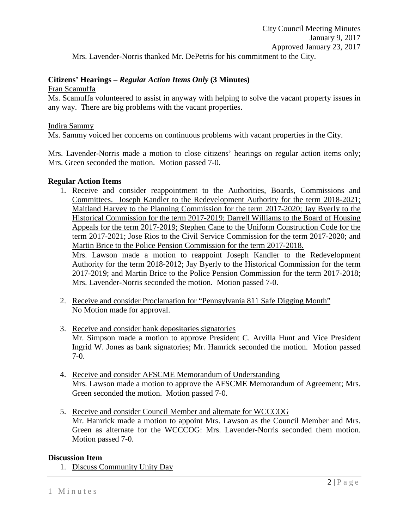## **Citizens' Hearings –** *Regular Action Items Only* **(3 Minutes)**

Fran Scamuffa

Ms. Scamuffa volunteered to assist in anyway with helping to solve the vacant property issues in any way. There are big problems with the vacant properties.

## Indira Sammy

Ms. Sammy voiced her concerns on continuous problems with vacant properties in the City.

Mrs. Lavender-Norris made a motion to close citizens' hearings on regular action items only; Mrs. Green seconded the motion. Motion passed 7-0.

## **Regular Action Items**

1. Receive and consider reappointment to the Authorities, Boards, Commissions and Committees. Joseph Kandler to the Redevelopment Authority for the term 2018-2021; Maitland Harvey to the Planning Commission for the term 2017-2020; Jay Byerly to the Historical Commission for the term 2017-2019; Darrell Williams to the Board of Housing Appeals for the term 2017-2019; Stephen Cane to the Uniform Construction Code for the term 2017-2021; Jose Rios to the Civil Service Commission for the term 2017-2020; and Martin Brice to the Police Pension Commission for the term 2017-2018. Mrs. Lawson made a motion to reappoint Joseph Kandler to the Redevelopment Authority for the term 2018-2012; Jay Byerly to the Historical Commission for the term

2017-2019; and Martin Brice to the Police Pension Commission for the term 2017-2018; Mrs. Lavender-Norris seconded the motion. Motion passed 7-0.

- 2. Receive and consider Proclamation for "Pennsylvania 811 Safe Digging Month" No Motion made for approval.
- 3. Receive and consider bank depositories signatories Mr. Simpson made a motion to approve President C. Arvilla Hunt and Vice President Ingrid W. Jones as bank signatories; Mr. Hamrick seconded the motion. Motion passed 7-0.
- 4. Receive and consider AFSCME Memorandum of Understanding Mrs. Lawson made a motion to approve the AFSCME Memorandum of Agreement; Mrs. Green seconded the motion. Motion passed 7-0.
- 5. Receive and consider Council Member and alternate for WCCCOG Mr. Hamrick made a motion to appoint Mrs. Lawson as the Council Member and Mrs. Green as alternate for the WCCCOG: Mrs. Lavender-Norris seconded them motion. Motion passed 7-0.

## **Discussion Item**

1. Discuss Community Unity Day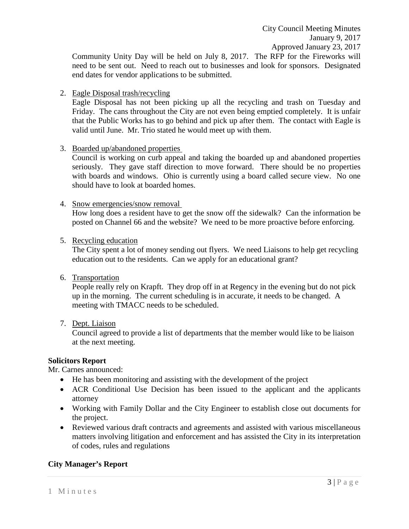City Council Meeting Minutes January 9, 2017 Approved January 23, 2017

Community Unity Day will be held on July 8, 2017. The RFP for the Fireworks will need to be sent out. Need to reach out to businesses and look for sponsors. Designated end dates for vendor applications to be submitted.

2. Eagle Disposal trash/recycling

Eagle Disposal has not been picking up all the recycling and trash on Tuesday and Friday. The cans throughout the City are not even being emptied completely. It is unfair that the Public Works has to go behind and pick up after them. The contact with Eagle is valid until June. Mr. Trio stated he would meet up with them.

3. Boarded up/abandoned properties

Council is working on curb appeal and taking the boarded up and abandoned properties seriously. They gave staff direction to move forward. There should be no properties with boards and windows. Ohio is currently using a board called secure view. No one should have to look at boarded homes.

4. Snow emergencies/snow removal

How long does a resident have to get the snow off the sidewalk? Can the information be posted on Channel 66 and the website? We need to be more proactive before enforcing.

5. Recycling education

The City spent a lot of money sending out flyers. We need Liaisons to help get recycling education out to the residents. Can we apply for an educational grant?

6. Transportation

People really rely on Krapft. They drop off in at Regency in the evening but do not pick up in the morning. The current scheduling is in accurate, it needs to be changed. A meeting with TMACC needs to be scheduled.

7. Dept. Liaison

Council agreed to provide a list of departments that the member would like to be liaison at the next meeting.

## **Solicitors Report**

Mr. Carnes announced:

- He has been monitoring and assisting with the development of the project
- ACR Conditional Use Decision has been issued to the applicant and the applicants attorney
- Working with Family Dollar and the City Engineer to establish close out documents for the project.
- Reviewed various draft contracts and agreements and assisted with various miscellaneous matters involving litigation and enforcement and has assisted the City in its interpretation of codes, rules and regulations

## **City Manager's Report**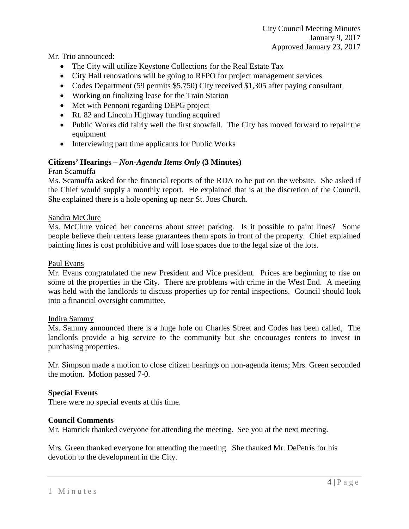City Council Meeting Minutes January 9, 2017 Approved January 23, 2017

Mr. Trio announced:

- The City will utilize Keystone Collections for the Real Estate Tax
- City Hall renovations will be going to RFPO for project management services
- Codes Department (59 permits \$5,750) City received \$1,305 after paying consultant
- Working on finalizing lease for the Train Station
- Met with Pennoni regarding DEPG project
- Rt. 82 and Lincoln Highway funding acquired
- Public Works did fairly well the first snowfall. The City has moved forward to repair the equipment
- Interviewing part time applicants for Public Works

## **Citizens' Hearings –** *Non-Agenda Items Only* **(3 Minutes)**

## Fran Scamuffa

Ms. Scamuffa asked for the financial reports of the RDA to be put on the website. She asked if the Chief would supply a monthly report. He explained that is at the discretion of the Council. She explained there is a hole opening up near St. Joes Church.

## Sandra McClure

Ms. McClure voiced her concerns about street parking. Is it possible to paint lines? Some people believe their renters lease guarantees them spots in front of the property. Chief explained painting lines is cost prohibitive and will lose spaces due to the legal size of the lots.

## Paul Evans

Mr. Evans congratulated the new President and Vice president. Prices are beginning to rise on some of the properties in the City. There are problems with crime in the West End. A meeting was held with the landlords to discuss properties up for rental inspections. Council should look into a financial oversight committee.

## Indira Sammy

Ms. Sammy announced there is a huge hole on Charles Street and Codes has been called, The landlords provide a big service to the community but she encourages renters to invest in purchasing properties.

Mr. Simpson made a motion to close citizen hearings on non-agenda items; Mrs. Green seconded the motion. Motion passed 7-0.

## **Special Events**

There were no special events at this time.

## **Council Comments**

Mr. Hamrick thanked everyone for attending the meeting. See you at the next meeting.

Mrs. Green thanked everyone for attending the meeting. She thanked Mr. DePetris for his devotion to the development in the City.